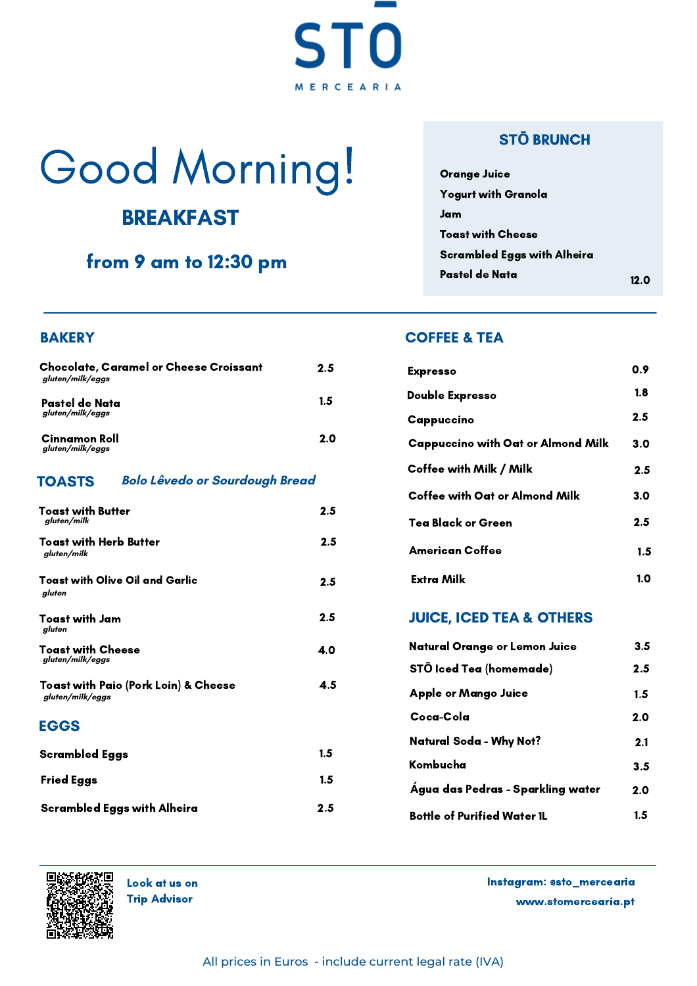# Good Morning!

**ST** 

MERCEARIA

 $\mathbf \Omega$ 

# **BREAKFAST**

## from 9 am to 12:30 pm

### **BAKERY**

| <b>Chocolate, Caramel or Cheese Croissant</b><br>aluten/milk/eggs | 2.5 | <b>Expresso</b>  |
|-------------------------------------------------------------------|-----|------------------|
| Pastel de Nata                                                    | 1.5 | <b>Double Ex</b> |
| gluten/milk/eggs                                                  |     | Cappucci         |
| Cinnamon Roll<br>gluten/milk/eggs                                 | 2.0 | Cappucci         |

#### **Bolo Lêvedo or Sourdough Bread** TOASTS

| <b>Toast with Butter</b><br>gluten/milk                  | 2.5              |
|----------------------------------------------------------|------------------|
| Toast with Herb Butter<br>gluten/milk                    | $2.5\phantom{0}$ |
| Toast with Olive Oil and Garlic<br>gluten                | $2.5\phantom{0}$ |
| <b>Toast with Jam</b><br>gluten                          | $2.5\,$          |
| Toast with Cheese<br>gluten/milk/eggs                    | 4.0              |
| Toast with Paio (Pork Loin) & Cheese<br>gluten/milk/eggs | 4.5              |
| <b>EGGS</b>                                              |                  |
| Scrambled Eggs                                           | $1.5\,$          |
| <b>Fried Eggs</b>                                        | 1.5              |
| Scrambled Eggs with Alheira                              | 2.5              |

### ST**Ō** BRUNCH

| <b>Orange Juice</b>                |      |
|------------------------------------|------|
| <b>Yogurt with Granola</b>         |      |
| Jam                                |      |
| <b>Toast with Cheese</b>           |      |
| <b>Scrambled Eggs with Alheira</b> |      |
| Pastel de Nata                     | 12 ต |

### COFFEE & TEA

| 2.5 | <b>Expresso</b>                           | 0.9 |
|-----|-------------------------------------------|-----|
| 1.5 | <b>Double Expresso</b>                    | 1.8 |
|     | Cappuccino                                | 2.5 |
| 2.0 | <b>Cappuccino with Oat or Almond Milk</b> | 3.0 |
|     | Coffee with Milk / Milk                   | 2.5 |
|     | Coffee with Oat or Almond Milk            | 3.0 |
| 2.5 | <b>Tea Black or Green</b>                 | 2.5 |
| 2.5 | <b>American Coffee</b>                    | 1.5 |
| 2.5 | <b>Extra Milk</b>                         | 1.0 |

### JUICE, ICED TEA & OTHERS

| Natural Orange or Lemon Juice      | 3.5 |
|------------------------------------|-----|
| STŌ Iced Tea (homemade)            | 2.5 |
| Apple or Mango Juice               | 1.5 |
| Coca-Cola                          | 2.0 |
| Natural Soda - Why Not?            | 2.1 |
| Kombucha                           | 3.5 |
| Água das Pedras - Sparkling water  | 2.0 |
| <b>Bottle of Purified Water 1L</b> | 1.5 |



Trip Advisor

www.stomercearia.pt Look at us on Instagram: @sto\_mercearia